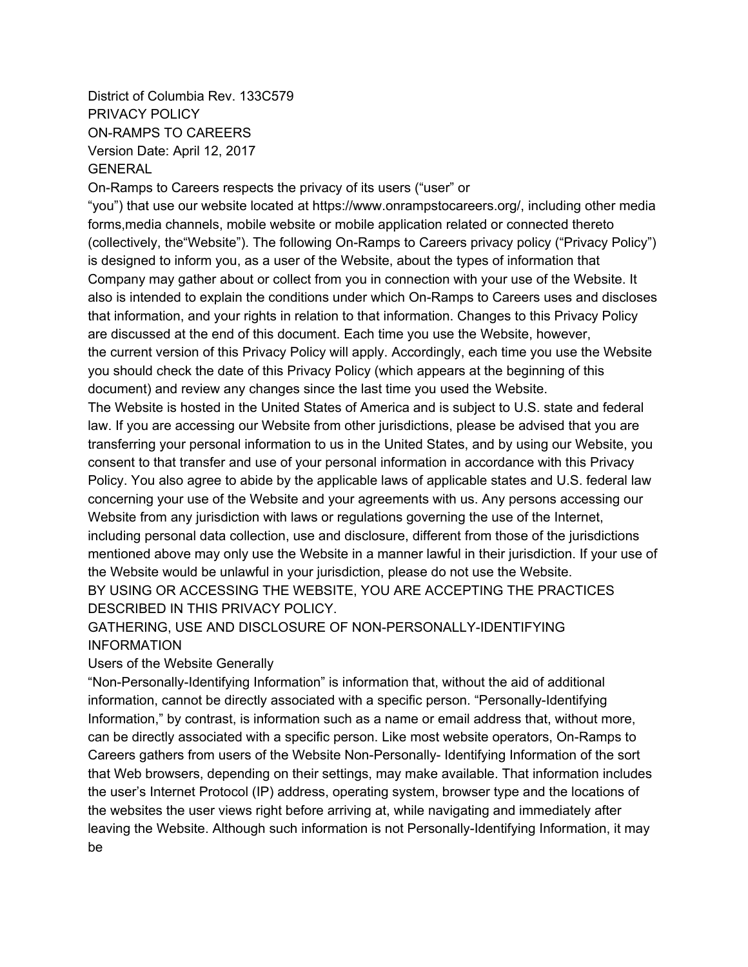District of Columbia Rev. 133C579 PRIVACY POLICY ON-RAMPS TO CAREERS Version Date: April 12, 2017 GENERAL

On-Ramps to Careers respects the privacy of its users ("user" or

"you") that use our website located at https://www.onrampstocareers.org/, including other media forms,media channels, mobile website or mobile application related or connected thereto (collectively, the"Website"). The following On-Ramps to Careers privacy policy ("Privacy Policy") is designed to inform you, as a user of the Website, about the types of information that Company may gather about or collect from you in connection with your use of the Website. It also is intended to explain the conditions under which On-Ramps to Careers uses and discloses that information, and your rights in relation to that information. Changes to this Privacy Policy are discussed at the end of this document. Each time you use the Website, however, the current version of this Privacy Policy will apply. Accordingly, each time you use the Website you should check the date of this Privacy Policy (which appears at the beginning of this document) and review any changes since the last time you used the Website.

The Website is hosted in the United States of America and is subject to U.S. state and federal law. If you are accessing our Website from other jurisdictions, please be advised that you are transferring your personal information to us in the United States, and by using our Website, you consent to that transfer and use of your personal information in accordance with this Privacy Policy. You also agree to abide by the applicable laws of applicable states and U.S. federal law concerning your use of the Website and your agreements with us. Any persons accessing our Website from any jurisdiction with laws or regulations governing the use of the Internet, including personal data collection, use and disclosure, different from those of the jurisdictions mentioned above may only use the Website in a manner lawful in their jurisdiction. If your use of the Website would be unlawful in your jurisdiction, please do not use the Website. BY USING OR ACCESSING THE WEBSITE, YOU ARE ACCEPTING THE PRACTICES DESCRIBED IN THIS PRIVACY POLICY.

GATHERING, USE AND DISCLOSURE OF NON-PERSONALLY-IDENTIFYING INFORMATION

Users of the Website Generally

"Non-Personally-Identifying Information" is information that, without the aid of additional information, cannot be directly associated with a specific person. "Personally-Identifying Information," by contrast, is information such as a name or email address that, without more, can be directly associated with a specific person. Like most website operators, On-Ramps to Careers gathers from users of the Website Non-Personally- Identifying Information of the sort that Web browsers, depending on their settings, may make available. That information includes the user's Internet Protocol (IP) address, operating system, browser type and the locations of the websites the user views right before arriving at, while navigating and immediately after leaving the Website. Although such information is not Personally-Identifying Information, it may be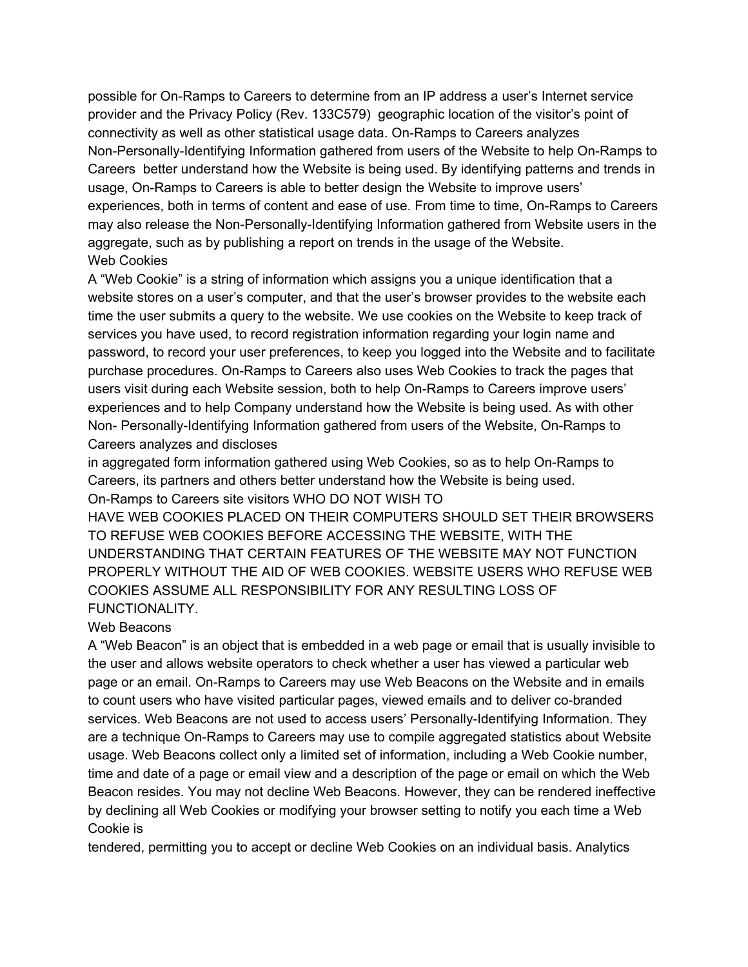possible for On-Ramps to Careers to determine from an IP address a user's Internet service provider and the Privacy Policy (Rev. 133C579) geographic location of the visitor's point of connectivity as well as other statistical usage data. On-Ramps to Careers analyzes Non-Personally-Identifying Information gathered from users of the Website to help On-Ramps to Careers better understand how the Website is being used. By identifying patterns and trends in usage, On-Ramps to Careers is able to better design the Website to improve users' experiences, both in terms of content and ease of use. From time to time, On-Ramps to Careers may also release the Non-Personally-Identifying Information gathered from Website users in the aggregate, such as by publishing a report on trends in the usage of the Website. Web Cookies

A "Web Cookie" is a string of information which assigns you a unique identification that a website stores on a user's computer, and that the user's browser provides to the website each time the user submits a query to the website. We use cookies on the Website to keep track of services you have used, to record registration information regarding your login name and password, to record your user preferences, to keep you logged into the Website and to facilitate purchase procedures. On-Ramps to Careers also uses Web Cookies to track the pages that users visit during each Website session, both to help On-Ramps to Careers improve users' experiences and to help Company understand how the Website is being used. As with other Non- Personally-Identifying Information gathered from users of the Website, On-Ramps to Careers analyzes and discloses

in aggregated form information gathered using Web Cookies, so as to help On-Ramps to Careers, its partners and others better understand how the Website is being used. On-Ramps to Careers site visitors WHO DO NOT WISH TO

HAVE WEB COOKIES PLACED ON THEIR COMPUTERS SHOULD SET THEIR BROWSERS TO REFUSE WEB COOKIES BEFORE ACCESSING THE WEBSITE, WITH THE UNDERSTANDING THAT CERTAIN FEATURES OF THE WEBSITE MAY NOT FUNCTION PROPERLY WITHOUT THE AID OF WEB COOKIES. WEBSITE USERS WHO REFUSE WEB COOKIES ASSUME ALL RESPONSIBILITY FOR ANY RESULTING LOSS OF FUNCTIONALITY.

#### Web Beacons

A "Web Beacon" is an object that is embedded in a web page or email that is usually invisible to the user and allows website operators to check whether a user has viewed a particular web page or an email. On-Ramps to Careers may use Web Beacons on the Website and in emails to count users who have visited particular pages, viewed emails and to deliver co-branded services. Web Beacons are not used to access users' Personally-Identifying Information. They are a technique On-Ramps to Careers may use to compile aggregated statistics about Website usage. Web Beacons collect only a limited set of information, including a Web Cookie number, time and date of a page or email view and a description of the page or email on which the Web Beacon resides. You may not decline Web Beacons. However, they can be rendered ineffective by declining all Web Cookies or modifying your browser setting to notify you each time a Web Cookie is

tendered, permitting you to accept or decline Web Cookies on an individual basis. Analytics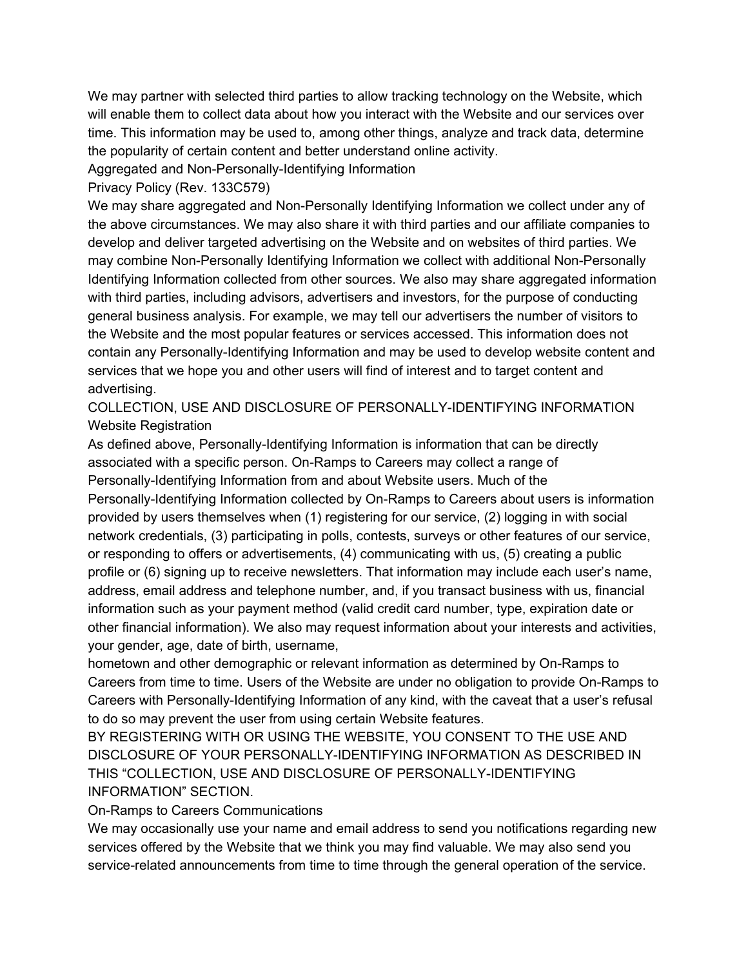We may partner with selected third parties to allow tracking technology on the Website, which will enable them to collect data about how you interact with the Website and our services over time. This information may be used to, among other things, analyze and track data, determine the popularity of certain content and better understand online activity.

Aggregated and Non-Personally-Identifying Information

Privacy Policy (Rev. 133C579)

We may share aggregated and Non-Personally Identifying Information we collect under any of the above circumstances. We may also share it with third parties and our affiliate companies to develop and deliver targeted advertising on the Website and on websites of third parties. We may combine Non-Personally Identifying Information we collect with additional Non-Personally Identifying Information collected from other sources. We also may share aggregated information with third parties, including advisors, advertisers and investors, for the purpose of conducting general business analysis. For example, we may tell our advertisers the number of visitors to the Website and the most popular features or services accessed. This information does not contain any Personally-Identifying Information and may be used to develop website content and services that we hope you and other users will find of interest and to target content and advertising.

COLLECTION, USE AND DISCLOSURE OF PERSONALLY-IDENTIFYING INFORMATION Website Registration

As defined above, Personally-Identifying Information is information that can be directly associated with a specific person. On-Ramps to Careers may collect a range of Personally-Identifying Information from and about Website users. Much of the Personally-Identifying Information collected by On-Ramps to Careers about users is information provided by users themselves when (1) registering for our service, (2) logging in with social network credentials, (3) participating in polls, contests, surveys or other features of our service, or responding to offers or advertisements, (4) communicating with us, (5) creating a public profile or (6) signing up to receive newsletters. That information may include each user's name, address, email address and telephone number, and, if you transact business with us, financial information such as your payment method (valid credit card number, type, expiration date or other financial information). We also may request information about your interests and activities, your gender, age, date of birth, username,

hometown and other demographic or relevant information as determined by On-Ramps to Careers from time to time. Users of the Website are under no obligation to provide On-Ramps to Careers with Personally-Identifying Information of any kind, with the caveat that a user's refusal to do so may prevent the user from using certain Website features.

BY REGISTERING WITH OR USING THE WEBSITE, YOU CONSENT TO THE USE AND DISCLOSURE OF YOUR PERSONALLY-IDENTIFYING INFORMATION AS DESCRIBED IN THIS "COLLECTION, USE AND DISCLOSURE OF PERSONALLY-IDENTIFYING INFORMATION" SECTION.

On-Ramps to Careers Communications

We may occasionally use your name and email address to send you notifications regarding new services offered by the Website that we think you may find valuable. We may also send you service-related announcements from time to time through the general operation of the service.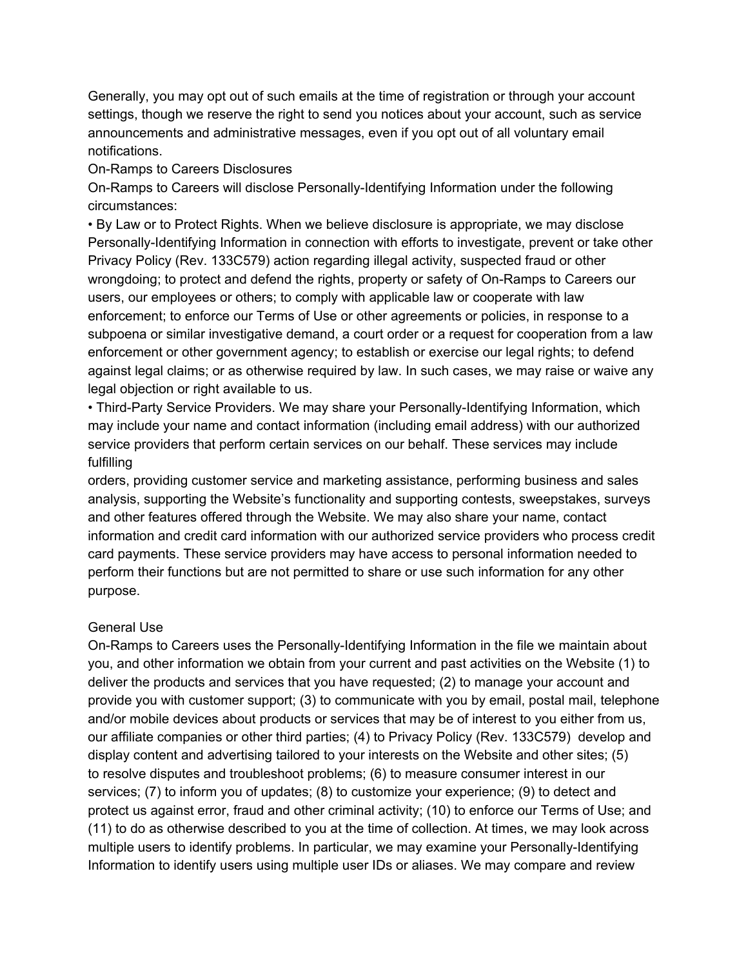Generally, you may opt out of such emails at the time of registration or through your account settings, though we reserve the right to send you notices about your account, such as service announcements and administrative messages, even if you opt out of all voluntary email notifications.

### On-Ramps to Careers Disclosures

On-Ramps to Careers will disclose Personally-Identifying Information under the following circumstances:

• By Law or to Protect Rights. When we believe disclosure is appropriate, we may disclose Personally-Identifying Information in connection with efforts to investigate, prevent or take other Privacy Policy (Rev. 133C579) action regarding illegal activity, suspected fraud or other wrongdoing; to protect and defend the rights, property or safety of On-Ramps to Careers our users, our employees or others; to comply with applicable law or cooperate with law enforcement; to enforce our Terms of Use or other agreements or policies, in response to a subpoena or similar investigative demand, a court order or a request for cooperation from a law enforcement or other government agency; to establish or exercise our legal rights; to defend against legal claims; or as otherwise required by law. In such cases, we may raise or waive any legal objection or right available to us.

• Third-Party Service Providers. We may share your Personally-Identifying Information, which may include your name and contact information (including email address) with our authorized service providers that perform certain services on our behalf. These services may include fulfilling

orders, providing customer service and marketing assistance, performing business and sales analysis, supporting the Website's functionality and supporting contests, sweepstakes, surveys and other features offered through the Website. We may also share your name, contact information and credit card information with our authorized service providers who process credit card payments. These service providers may have access to personal information needed to perform their functions but are not permitted to share or use such information for any other purpose.

## General Use

On-Ramps to Careers uses the Personally-Identifying Information in the file we maintain about you, and other information we obtain from your current and past activities on the Website (1) to deliver the products and services that you have requested; (2) to manage your account and provide you with customer support; (3) to communicate with you by email, postal mail, telephone and/or mobile devices about products or services that may be of interest to you either from us, our affiliate companies or other third parties; (4) to Privacy Policy (Rev. 133C579) develop and display content and advertising tailored to your interests on the Website and other sites; (5) to resolve disputes and troubleshoot problems; (6) to measure consumer interest in our services; (7) to inform you of updates; (8) to customize your experience; (9) to detect and protect us against error, fraud and other criminal activity; (10) to enforce our Terms of Use; and (11) to do as otherwise described to you at the time of collection. At times, we may look across multiple users to identify problems. In particular, we may examine your Personally-Identifying Information to identify users using multiple user IDs or aliases. We may compare and review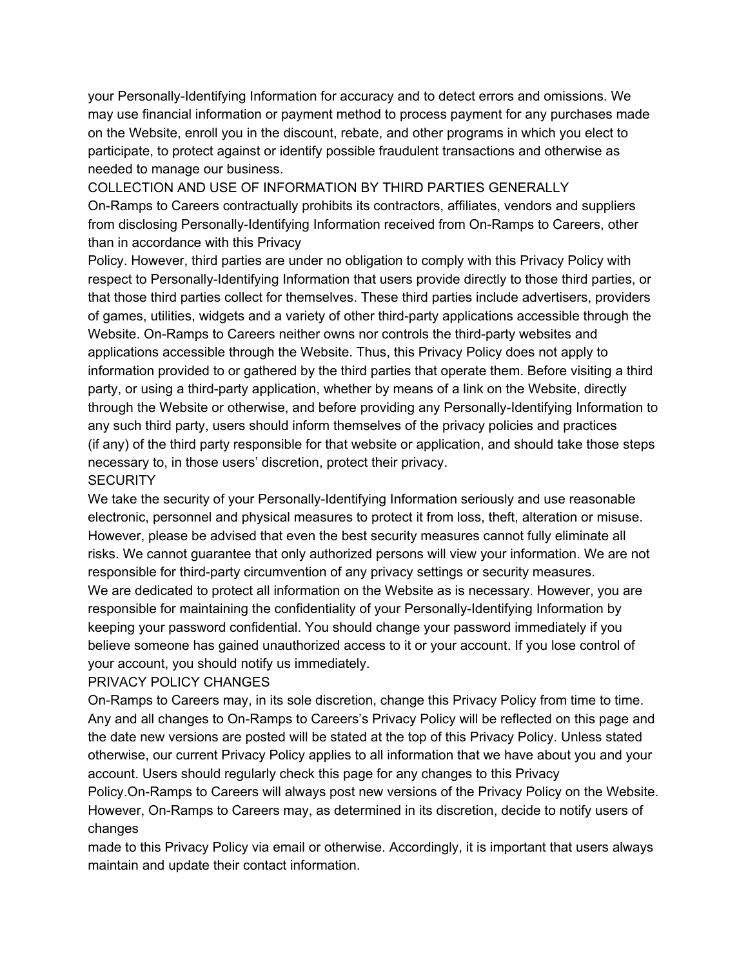your Personally-Identifying Information for accuracy and to detect errors and omissions. We may use financial information or payment method to process payment for any purchases made on the Website, enroll you in the discount, rebate, and other programs in which you elect to participate, to protect against or identify possible fraudulent transactions and otherwise as needed to manage our business.

COLLECTION AND USE OF INFORMATION BY THIRD PARTIES GENERALLY On-Ramps to Careers contractually prohibits its contractors, affiliates, vendors and suppliers from disclosing Personally-Identifying Information received from On-Ramps to Careers, other than in accordance with this Privacy

Policy. However, third parties are under no obligation to comply with this Privacy Policy with respect to Personally-Identifying Information that users provide directly to those third parties, or that those third parties collect for themselves. These third parties include advertisers, providers of games, utilities, widgets and a variety of other third-party applications accessible through the Website. On-Ramps to Careers neither owns nor controls the third-party websites and applications accessible through the Website. Thus, this Privacy Policy does not apply to information provided to or gathered by the third parties that operate them. Before visiting a third party, or using a third-party application, whether by means of a link on the Website, directly through the Website or otherwise, and before providing any Personally-Identifying Information to any such third party, users should inform themselves of the privacy policies and practices (if any) of the third party responsible for that website or application, and should take those steps necessary to, in those users' discretion, protect their privacy.

# **SECURITY**

We take the security of your Personally-Identifying Information seriously and use reasonable electronic, personnel and physical measures to protect it from loss, theft, alteration or misuse. However, please be advised that even the best security measures cannot fully eliminate all risks. We cannot guarantee that only authorized persons will view your information. We are not responsible for third-party circumvention of any privacy settings or security measures. We are dedicated to protect all information on the Website as is necessary. However, you are responsible for maintaining the confidentiality of your Personally-Identifying Information by keeping your password confidential. You should change your password immediately if you believe someone has gained unauthorized access to it or your account. If you lose control of your account, you should notify us immediately.

## PRIVACY POLICY CHANGES

On-Ramps to Careers may, in its sole discretion, change this Privacy Policy from time to time. Any and all changes to On-Ramps to Careers's Privacy Policy will be reflected on this page and the date new versions are posted will be stated at the top of this Privacy Policy. Unless stated otherwise, our current Privacy Policy applies to all information that we have about you and your account. Users should regularly check this page for any changes to this Privacy

Policy.On-Ramps to Careers will always post new versions of the Privacy Policy on the Website. However, On-Ramps to Careers may, as determined in its discretion, decide to notify users of changes

made to this Privacy Policy via email or otherwise. Accordingly, it is important that users always maintain and update their contact information.